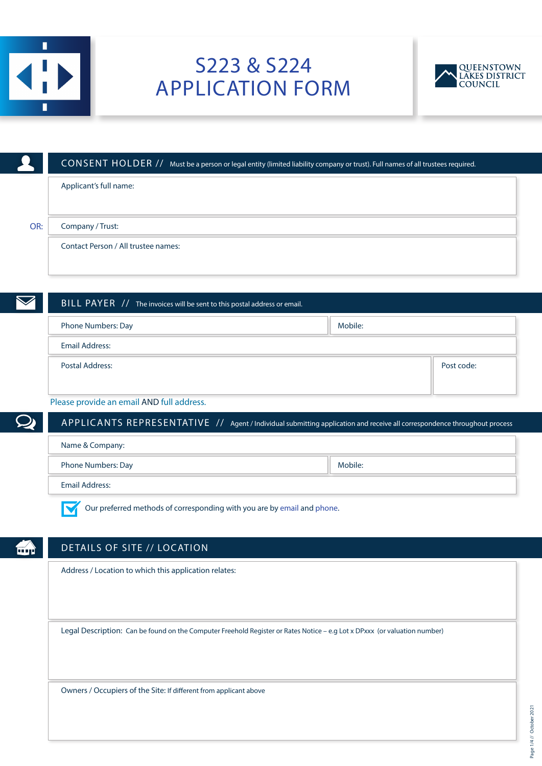

# S223 & S224 APPLICATION FORM



|     | CONSENT HOLDER // Must be a person or legal entity (limited liability company or trust). Full names of all trustees required. |         |            |
|-----|-------------------------------------------------------------------------------------------------------------------------------|---------|------------|
|     | Applicant's full name:                                                                                                        |         |            |
|     |                                                                                                                               |         |            |
| OR: | Company / Trust:                                                                                                              |         |            |
|     | Contact Person / All trustee names:                                                                                           |         |            |
|     |                                                                                                                               |         |            |
|     |                                                                                                                               |         |            |
|     | BILL PAYER 7/ The invoices will be sent to this postal address or email.                                                      |         |            |
|     | Phone Numbers: Day                                                                                                            | Mobile: |            |
|     | <b>Email Address:</b>                                                                                                         |         |            |
|     | <b>Postal Address:</b>                                                                                                        |         | Post code: |
|     |                                                                                                                               |         |            |
|     | Please provide an email AND full address.                                                                                     |         |            |

fάή

APPLICANTS REPRESENTATIVE // Agent / Individual submitting application and receive all correspondence throughout process

| Name & Company:       |         |  |
|-----------------------|---------|--|
| Phone Numbers: Day    | Mobile: |  |
| <b>Email Address:</b> |         |  |

M Our preferred methods of corresponding with you are by email and phone.

# DETAILS OF SITE // LOCATION

Address / Location to which this application relates:

Legal Description: Can be found on the Computer Freehold Register or Rates Notice – e.g Lot x DPxxx (or valuation number)

Owners / Occupiers of the Site: If different from applicant above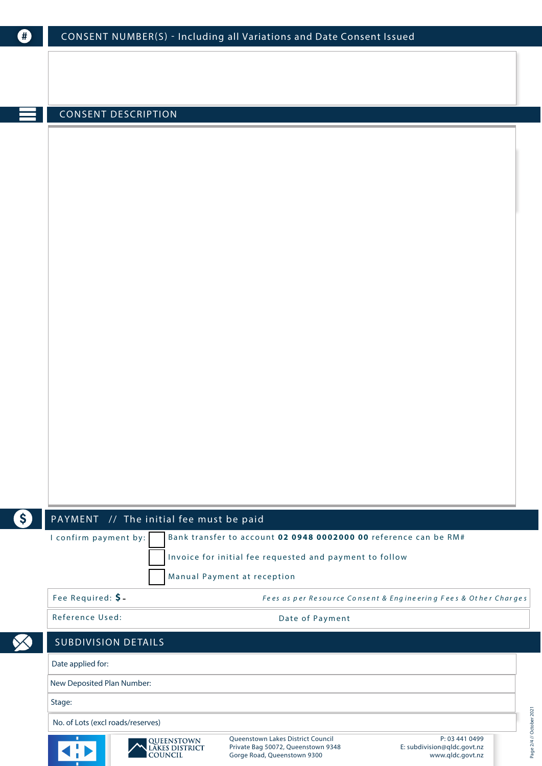| O  | CONSENT NUMBER(S) - Including all Variations and Date Consent Issued                                                                                            |  |
|----|-----------------------------------------------------------------------------------------------------------------------------------------------------------------|--|
|    |                                                                                                                                                                 |  |
|    |                                                                                                                                                                 |  |
|    |                                                                                                                                                                 |  |
|    | <b>CONSENT DESCRIPTION</b>                                                                                                                                      |  |
|    |                                                                                                                                                                 |  |
|    |                                                                                                                                                                 |  |
|    |                                                                                                                                                                 |  |
|    |                                                                                                                                                                 |  |
|    |                                                                                                                                                                 |  |
|    |                                                                                                                                                                 |  |
|    |                                                                                                                                                                 |  |
|    |                                                                                                                                                                 |  |
|    |                                                                                                                                                                 |  |
|    |                                                                                                                                                                 |  |
|    |                                                                                                                                                                 |  |
|    |                                                                                                                                                                 |  |
|    |                                                                                                                                                                 |  |
|    |                                                                                                                                                                 |  |
|    |                                                                                                                                                                 |  |
|    |                                                                                                                                                                 |  |
|    |                                                                                                                                                                 |  |
|    |                                                                                                                                                                 |  |
|    |                                                                                                                                                                 |  |
| \$ | PAYMENT // The initial fee must be paid<br>I confirm payment by:<br>Bank transfer to account 02 0948 0002000 00 reference can be RM#                            |  |
|    | Invoice for initial fee requested and payment to follow                                                                                                         |  |
|    | Manual Payment at reception                                                                                                                                     |  |
|    | Fee Required: \$-<br>Fees as per Resource Consent & Engineering Fees & Other Charges                                                                            |  |
|    | Reference Used:<br>Date of Payment                                                                                                                              |  |
|    |                                                                                                                                                                 |  |
|    | <b>SUBDIVISION DETAILS</b>                                                                                                                                      |  |
|    | Date applied for:                                                                                                                                               |  |
|    | New Deposited Plan Number:                                                                                                                                      |  |
|    | Stage:                                                                                                                                                          |  |
|    | No. of Lots (excl roads/reserves)<br>Queenstown Lakes District Council<br>P: 03 441 0499                                                                        |  |
|    | QUEENSTOWN<br>LAKES DISTRICT<br>COUNCIL<br>Private Bag 50072, Queenstown 9348<br>E: subdivision@qldc.govt.nz<br>Gorge Road, Queenstown 9300<br>www.qldc.govt.nz |  |

Page 2/4 // October 2021

Page 2/4 // October 2021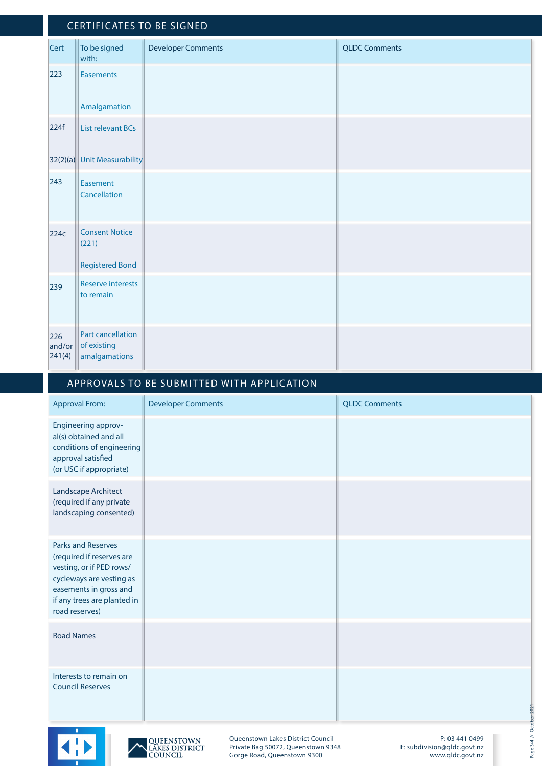#### CERTIFICATES TO BE SIGNED **Cert** To be signed with: Developer Comments QLDC Comments

|                         | with:                                                    |  |
|-------------------------|----------------------------------------------------------|--|
| 223                     | <b>Easements</b>                                         |  |
|                         | Amalgamation                                             |  |
| 224f                    | <b>List relevant BCs</b>                                 |  |
|                         | 32(2)(a) Unit Measurability                              |  |
| 243                     | Easement<br>Cancellation                                 |  |
| 224c                    | <b>Consent Notice</b><br>(221)<br><b>Registered Bond</b> |  |
| 239                     | Reserve interests<br>to remain                           |  |
| 226<br>and/or<br>241(4) | Part cancellation<br>of existing<br>amalgamations        |  |

## APPROVALS TO BE SUBMITTED WITH APPLICATION

| <b>Approval From:</b>                                                                                                                                                                     | <b>Developer Comments</b> | <b>QLDC Comments</b> |
|-------------------------------------------------------------------------------------------------------------------------------------------------------------------------------------------|---------------------------|----------------------|
| Engineering approv-<br>al(s) obtained and all<br>conditions of engineering<br>approval satisfied<br>(or USC if appropriate)                                                               |                           |                      |
| Landscape Architect<br>(required if any private<br>landscaping consented)                                                                                                                 |                           |                      |
| <b>Parks and Reserves</b><br>(required if reserves are<br>vesting, or if PED rows/<br>cycleways are vesting as<br>easements in gross and<br>if any trees are planted in<br>road reserves) |                           |                      |
| <b>Road Names</b>                                                                                                                                                                         |                           |                      |
| Interests to remain on<br><b>Council Reserves</b>                                                                                                                                         |                           |                      |





Queenstown Lakes District Council Private Bag 50072, Queenstown 9348 Gorge Road, Queenstown 9300